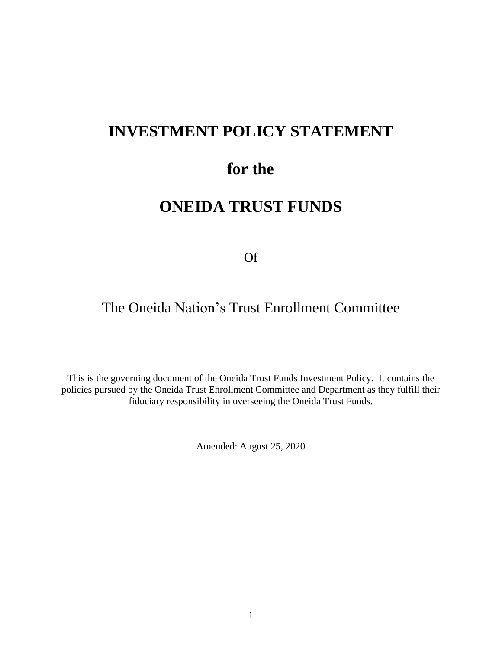# **INVESTMENT POLICY STATEMENT**

# **for the**

# **ONEIDA TRUST FUNDS**

Of

## The Oneida Nation's Trust Enrollment Committee

This is the governing document of the Oneida Trust Funds Investment Policy. It contains the policies pursued by the Oneida Trust Enrollment Committee and Department as they fulfill their fiduciary responsibility in overseeing the Oneida Trust Funds.

Amended: August 25, 2020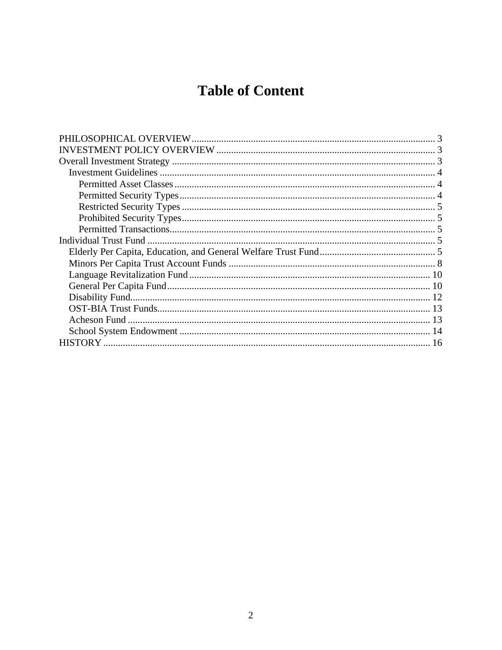# **Table of Content**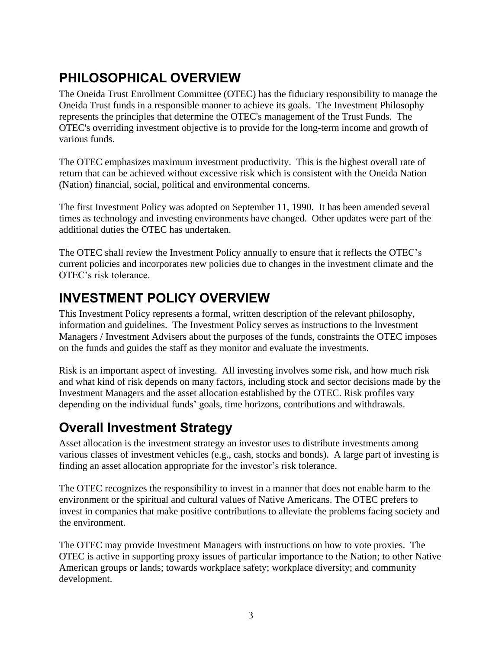# <span id="page-2-0"></span>**PHILOSOPHICAL OVERVIEW**

The Oneida Trust Enrollment Committee (OTEC) has the fiduciary responsibility to manage the Oneida Trust funds in a responsible manner to achieve its goals. The Investment Philosophy represents the principles that determine the OTEC's management of the Trust Funds. The OTEC's overriding investment objective is to provide for the long-term income and growth of various funds.

The OTEC emphasizes maximum investment productivity. This is the highest overall rate of return that can be achieved without excessive risk which is consistent with the Oneida Nation (Nation) financial, social, political and environmental concerns.

The first Investment Policy was adopted on September 11, 1990. It has been amended several times as technology and investing environments have changed. Other updates were part of the additional duties the OTEC has undertaken.

The OTEC shall review the Investment Policy annually to ensure that it reflects the OTEC's current policies and incorporates new policies due to changes in the investment climate and the OTEC's risk tolerance.

## <span id="page-2-1"></span>**INVESTMENT POLICY OVERVIEW**

This Investment Policy represents a formal, written description of the relevant philosophy, information and guidelines. The Investment Policy serves as instructions to the Investment Managers / Investment Advisers about the purposes of the funds, constraints the OTEC imposes on the funds and guides the staff as they monitor and evaluate the investments.

Risk is an important aspect of investing. All investing involves some risk, and how much risk and what kind of risk depends on many factors, including stock and sector decisions made by the Investment Managers and the asset allocation established by the OTEC. Risk profiles vary depending on the individual funds' goals, time horizons, contributions and withdrawals.

## <span id="page-2-2"></span>**Overall Investment Strategy**

Asset allocation is the investment strategy an investor uses to distribute investments among various classes of investment vehicles (e.g., cash, stocks and bonds). A large part of investing is finding an asset allocation appropriate for the investor's risk tolerance.

The OTEC recognizes the responsibility to invest in a manner that does not enable harm to the environment or the spiritual and cultural values of Native Americans. The OTEC prefers to invest in companies that make positive contributions to alleviate the problems facing society and the environment.

The OTEC may provide Investment Managers with instructions on how to vote proxies. The OTEC is active in supporting proxy issues of particular importance to the Nation; to other Native American groups or lands; towards workplace safety; workplace diversity; and community development.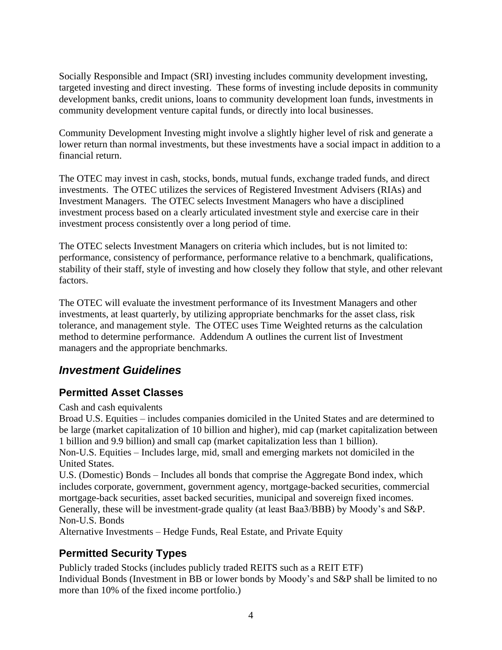Socially Responsible and Impact (SRI) investing includes community development investing, targeted investing and direct investing. These forms of investing include deposits in community development banks, credit unions, loans to community development loan funds, investments in community development venture capital funds, or directly into local businesses.

Community Development Investing might involve a slightly higher level of risk and generate a lower return than normal investments, but these investments have a social impact in addition to a financial return.

The OTEC may invest in cash, stocks, bonds, mutual funds, exchange traded funds, and direct investments. The OTEC utilizes the services of Registered Investment Advisers (RIAs) and Investment Managers. The OTEC selects Investment Managers who have a disciplined investment process based on a clearly articulated investment style and exercise care in their investment process consistently over a long period of time.

The OTEC selects Investment Managers on criteria which includes, but is not limited to: performance, consistency of performance, performance relative to a benchmark, qualifications, stability of their staff, style of investing and how closely they follow that style, and other relevant factors.

The OTEC will evaluate the investment performance of its Investment Managers and other investments, at least quarterly, by utilizing appropriate benchmarks for the asset class, risk tolerance, and management style. The OTEC uses Time Weighted returns as the calculation method to determine performance. Addendum A outlines the current list of Investment managers and the appropriate benchmarks.

### <span id="page-3-0"></span>*Investment Guidelines*

### <span id="page-3-1"></span>**Permitted Asset Classes**

Cash and cash equivalents

Broad U.S. Equities – includes companies domiciled in the United States and are determined to be large (market capitalization of 10 billion and higher), mid cap (market capitalization between 1 billion and 9.9 billion) and small cap (market capitalization less than 1 billion).

Non-U.S. Equities – Includes large, mid, small and emerging markets not domiciled in the United States.

U.S. (Domestic) Bonds – Includes all bonds that comprise the Aggregate Bond index, which includes corporate, government, government agency, mortgage-backed securities, commercial mortgage-back securities, asset backed securities, municipal and sovereign fixed incomes. Generally, these will be investment-grade quality (at least Baa3/BBB) by Moody's and S&P. Non-U.S. Bonds

Alternative Investments – Hedge Funds, Real Estate, and Private Equity

### <span id="page-3-2"></span>**Permitted Security Types**

Publicly traded Stocks (includes publicly traded REITS such as a REIT ETF) Individual Bonds (Investment in BB or lower bonds by Moody's and S&P shall be limited to no more than 10% of the fixed income portfolio.)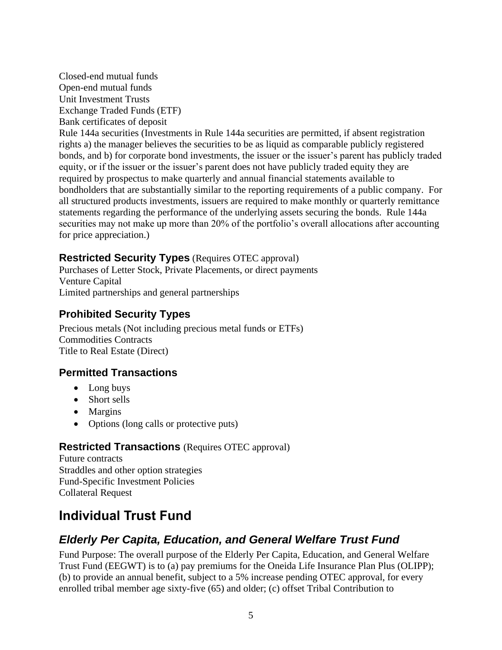Closed-end mutual funds Open-end mutual funds Unit Investment Trusts Exchange Traded Funds (ETF) Bank certificates of deposit Rule 144a securities (Investments in Rule 144a securities are permitted, if absent registration rights a) the manager believes the securities to be as liquid as comparable publicly registered bonds, and b) for corporate bond investments, the issuer or the issuer's parent has publicly traded equity, or if the issuer or the issuer's parent does not have publicly traded equity they are required by prospectus to make quarterly and annual financial statements available to bondholders that are substantially similar to the reporting requirements of a public company. For all structured products investments, issuers are required to make monthly or quarterly remittance statements regarding the performance of the underlying assets securing the bonds. Rule 144a securities may not make up more than 20% of the portfolio's overall allocations after accounting for price appreciation.)

#### <span id="page-4-0"></span>**Restricted Security Types** (Requires OTEC approval)

Purchases of Letter Stock, Private Placements, or direct payments Venture Capital Limited partnerships and general partnerships

### <span id="page-4-1"></span>**Prohibited Security Types**

Precious metals (Not including precious metal funds or ETFs) Commodities Contracts Title to Real Estate (Direct)

### <span id="page-4-2"></span>**Permitted Transactions**

- Long buys
- Short sells
- Margins
- Options (long calls or protective puts)

### **Restricted Transactions** (Requires OTEC approval)

Future contracts Straddles and other option strategies Fund-Specific Investment Policies Collateral Request

## <span id="page-4-3"></span>**Individual Trust Fund**

## <span id="page-4-4"></span>*Elderly Per Capita, Education, and General Welfare Trust Fund*

Fund Purpose: The overall purpose of the Elderly Per Capita, Education, and General Welfare Trust Fund (EEGWT) is to (a) pay premiums for the Oneida Life Insurance Plan Plus (OLIPP); (b) to provide an annual benefit, subject to a 5% increase pending OTEC approval, for every enrolled tribal member age sixty-five (65) and older; (c) offset Tribal Contribution to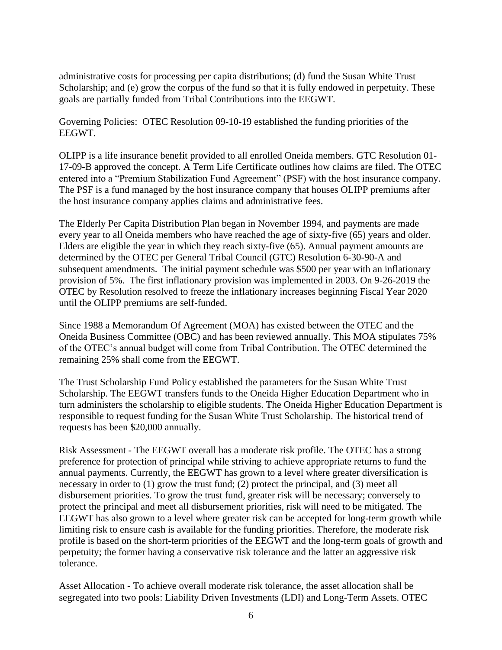administrative costs for processing per capita distributions; (d) fund the Susan White Trust Scholarship; and (e) grow the corpus of the fund so that it is fully endowed in perpetuity. These goals are partially funded from Tribal Contributions into the EEGWT.

Governing Policies: OTEC Resolution 09-10-19 established the funding priorities of the EEGWT.

OLIPP is a life insurance benefit provided to all enrolled Oneida members. GTC Resolution 01- 17-09-B approved the concept. A Term Life Certificate outlines how claims are filed. The OTEC entered into a "Premium Stabilization Fund Agreement" (PSF) with the host insurance company. The PSF is a fund managed by the host insurance company that houses OLIPP premiums after the host insurance company applies claims and administrative fees.

The Elderly Per Capita Distribution Plan began in November 1994, and payments are made every year to all Oneida members who have reached the age of sixty-five (65) years and older. Elders are eligible the year in which they reach sixty-five (65). Annual payment amounts are determined by the OTEC per General Tribal Council (GTC) Resolution 6-30-90-A and subsequent amendments. The initial payment schedule was \$500 per year with an inflationary provision of 5%. The first inflationary provision was implemented in 2003. On 9-26-2019 the OTEC by Resolution resolved to freeze the inflationary increases beginning Fiscal Year 2020 until the OLIPP premiums are self-funded.

Since 1988 a Memorandum Of Agreement (MOA) has existed between the OTEC and the Oneida Business Committee (OBC) and has been reviewed annually. This MOA stipulates 75% of the OTEC's annual budget will come from Tribal Contribution. The OTEC determined the remaining 25% shall come from the EEGWT.

The Trust Scholarship Fund Policy established the parameters for the Susan White Trust Scholarship. The EEGWT transfers funds to the Oneida Higher Education Department who in turn administers the scholarship to eligible students. The Oneida Higher Education Department is responsible to request funding for the Susan White Trust Scholarship. The historical trend of requests has been \$20,000 annually.

Risk Assessment - The EEGWT overall has a moderate risk profile. The OTEC has a strong preference for protection of principal while striving to achieve appropriate returns to fund the annual payments. Currently, the EEGWT has grown to a level where greater diversification is necessary in order to (1) grow the trust fund; (2) protect the principal, and (3) meet all disbursement priorities. To grow the trust fund, greater risk will be necessary; conversely to protect the principal and meet all disbursement priorities, risk will need to be mitigated. The EEGWT has also grown to a level where greater risk can be accepted for long-term growth while limiting risk to ensure cash is available for the funding priorities. Therefore, the moderate risk profile is based on the short-term priorities of the EEGWT and the long-term goals of growth and perpetuity; the former having a conservative risk tolerance and the latter an aggressive risk tolerance.

Asset Allocation - To achieve overall moderate risk tolerance, the asset allocation shall be segregated into two pools: Liability Driven Investments (LDI) and Long-Term Assets. OTEC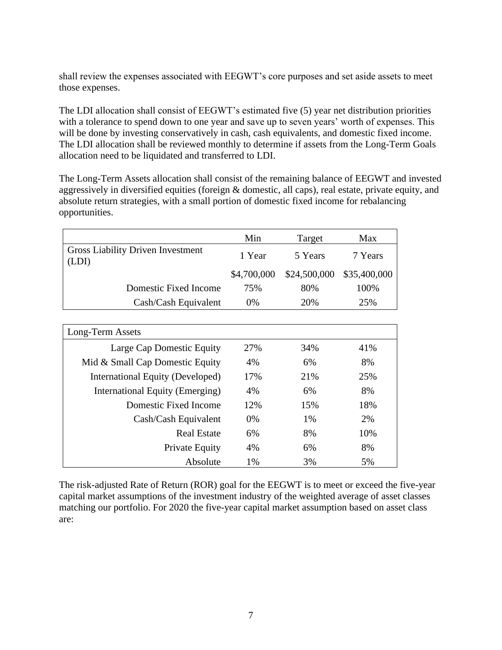shall review the expenses associated with EEGWT's core purposes and set aside assets to meet those expenses.

The LDI allocation shall consist of EEGWT's estimated five (5) year net distribution priorities with a tolerance to spend down to one year and save up to seven years' worth of expenses. This will be done by investing conservatively in cash, cash equivalents, and domestic fixed income. The LDI allocation shall be reviewed monthly to determine if assets from the Long-Term Goals allocation need to be liquidated and transferred to LDI.

The Long-Term Assets allocation shall consist of the remaining balance of EEGWT and invested aggressively in diversified equities (foreign & domestic, all caps), real estate, private equity, and absolute return strategies, with a small portion of domestic fixed income for rebalancing opportunities.

|                                                  | Min         | Target                    | Max     |
|--------------------------------------------------|-------------|---------------------------|---------|
| <b>Gross Liability Driven Investment</b><br>(LDI | 1 Year      | 5 Years                   | 7 Years |
|                                                  | \$4,700,000 | \$24,500,000 \$35,400,000 |         |
| Domestic Fixed Income                            | 75%         | 80%                       | 100%    |
| Cash/Cash Equivalent                             | $0\%$       | 20%                       | 25%     |

| Long-Term Assets                 |       |     |     |
|----------------------------------|-------|-----|-----|
| Large Cap Domestic Equity        | 27%   | 34% | 41% |
| Mid & Small Cap Domestic Equity  | 4%    | 6%  | 8%  |
| International Equity (Developed) | 17%   | 21% | 25% |
| International Equity (Emerging)  | 4%    | 6%  | 8%  |
| Domestic Fixed Income            | 12%   | 15% | 18% |
| Cash/Cash Equivalent             | $0\%$ | 1%  | 2%  |
| Real Estate                      | 6%    | 8%  | 10% |
| Private Equity                   | 4%    | 6%  | 8%  |
| Absolute                         | 1%    | 3%  | 5%  |

The risk-adjusted Rate of Return (ROR) goal for the EEGWT is to meet or exceed the five-year capital market assumptions of the investment industry of the weighted average of asset classes matching our portfolio. For 2020 the five-year capital market assumption based on asset class are: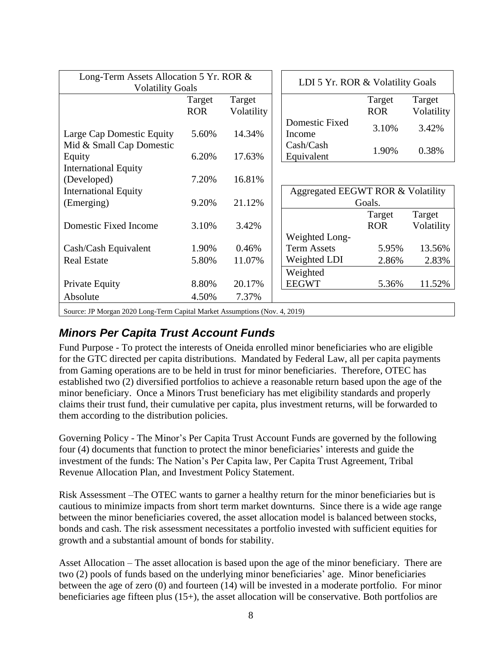| Long-Term Assets Allocation 5 Yr. ROR &<br><b>Volatility Goals</b>         |            |            | LDI 5 Yr. ROR & Volatility Goals           |
|----------------------------------------------------------------------------|------------|------------|--------------------------------------------|
|                                                                            | Target     | Target     | Target<br>Target                           |
|                                                                            | <b>ROR</b> | Volatility | <b>ROR</b><br>Volatility                   |
| Large Cap Domestic Equity                                                  | 5.60%      | 14.34%     | Domestic Fixed<br>3.10%<br>3.42%<br>Income |
| Mid & Small Cap Domestic                                                   |            |            | Cash/Cash                                  |
| Equity                                                                     | 6.20%      | 17.63%     | 0.38%<br>1.90%<br>Equivalent               |
| <b>International Equity</b>                                                |            |            |                                            |
| (Developed)                                                                | 7.20%      | 16.81%     |                                            |
| <b>International Equity</b>                                                |            |            | Aggregated EEGWT ROR & Volatility          |
| (Emerging)                                                                 | 9.20%      | 21.12%     | Goals.                                     |
|                                                                            |            |            | Target<br>Target                           |
| Domestic Fixed Income                                                      | 3.10%      | 3.42%      | Volatility<br><b>ROR</b>                   |
|                                                                            |            |            | Weighted Long-                             |
| Cash/Cash Equivalent                                                       | 1.90%      | 0.46%      | <b>Term Assets</b><br>5.95%<br>13.56%      |
| <b>Real Estate</b>                                                         | 5.80%      | 11.07%     | Weighted LDI<br>2.86%<br>2.83%             |
|                                                                            |            |            | Weighted                                   |
| Private Equity                                                             | 8.80%      | 20.17%     | <b>EEGWT</b><br>5.36%<br>11.52%            |
| Absolute                                                                   | 4.50%      | 7.37%      |                                            |
| Source: JP Morgan 2020 Long-Term Capital Market Assumptions (Nov. 4, 2019) |            |            |                                            |

## <span id="page-7-0"></span>*Minors Per Capita Trust Account Funds*

Fund Purpose - To protect the interests of Oneida enrolled minor beneficiaries who are eligible for the GTC directed per capita distributions. Mandated by Federal Law, all per capita payments from Gaming operations are to be held in trust for minor beneficiaries. Therefore, OTEC has established two (2) diversified portfolios to achieve a reasonable return based upon the age of the minor beneficiary. Once a Minors Trust beneficiary has met eligibility standards and properly claims their trust fund, their cumulative per capita, plus investment returns, will be forwarded to them according to the distribution policies.

Governing Policy - The Minor's Per Capita Trust Account Funds are governed by the following four (4) documents that function to protect the minor beneficiaries' interests and guide the investment of the funds: The Nation's Per Capita law, Per Capita Trust Agreement, Tribal Revenue Allocation Plan, and Investment Policy Statement.

Risk Assessment –The OTEC wants to garner a healthy return for the minor beneficiaries but is cautious to minimize impacts from short term market downturns. Since there is a wide age range between the minor beneficiaries covered, the asset allocation model is balanced between stocks, bonds and cash. The risk assessment necessitates a portfolio invested with sufficient equities for growth and a substantial amount of bonds for stability.

Asset Allocation – The asset allocation is based upon the age of the minor beneficiary. There are two (2) pools of funds based on the underlying minor beneficiaries' age. Minor beneficiaries between the age of zero (0) and fourteen (14) will be invested in a moderate portfolio. For minor beneficiaries age fifteen plus (15+), the asset allocation will be conservative. Both portfolios are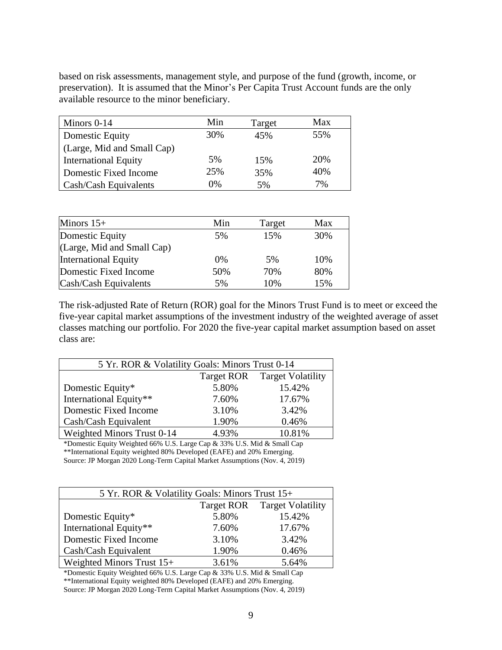based on risk assessments, management style, and purpose of the fund (growth, income, or preservation). It is assumed that the Minor's Per Capita Trust Account funds are the only available resource to the minor beneficiary.

| Minors 0-14                 | Min | Target | Max |
|-----------------------------|-----|--------|-----|
| <b>Domestic Equity</b>      | 30% | 45%    | 55% |
| (Large, Mid and Small Cap)  |     |        |     |
| <b>International Equity</b> | 5%  | 15%    | 20% |
| Domestic Fixed Income       | 25% | 35%    | 40% |
| Cash/Cash Equivalents       | 0%  | 5%     | 7%  |

| Minors $15+$                | Min | Target | Max |
|-----------------------------|-----|--------|-----|
| Domestic Equity             | 5%  | 15%    | 30% |
| (Large, Mid and Small Cap)  |     |        |     |
| <b>International Equity</b> | 0%  | 5%     | 10% |
| Domestic Fixed Income       | 50% | 70%    | 80% |
| Cash/Cash Equivalents       | 5%  | 10%    | 15% |

The risk-adjusted Rate of Return (ROR) goal for the Minors Trust Fund is to meet or exceed the five-year capital market assumptions of the investment industry of the weighted average of asset classes matching our portfolio. For 2020 the five-year capital market assumption based on asset class are:

| 5 Yr. ROR & Volatility Goals: Minors Trust 0-14 |       |        |  |  |
|-------------------------------------------------|-------|--------|--|--|
| <b>Target Volatility</b><br>Target ROR          |       |        |  |  |
| Domestic Equity*                                | 5.80% | 15.42% |  |  |
| International Equity**                          | 7.60% | 17.67% |  |  |
| Domestic Fixed Income                           | 3.10% | 3.42%  |  |  |
| Cash/Cash Equivalent                            | 1.90% | 0.46%  |  |  |
| Weighted Minors Trust 0-14                      | 4.93% | 10.81% |  |  |

\*Domestic Equity Weighted 66% U.S. Large Cap & 33% U.S. Mid & Small Cap \*\*International Equity weighted 80% Developed (EAFE) and 20% Emerging. Source: JP Morgan 2020 Long-Term Capital Market Assumptions (Nov. 4, 2019)

| 5 Yr. ROR & Volatility Goals: Minors Trust 15+ |       |                              |  |
|------------------------------------------------|-------|------------------------------|--|
|                                                |       | Target ROR Target Volatility |  |
| Domestic Equity*                               | 5.80% | 15.42%                       |  |
| International Equity**                         | 7.60% | 17.67%                       |  |
| Domestic Fixed Income                          | 3.10% | 3.42%                        |  |
| Cash/Cash Equivalent                           | 1.90% | 0.46%                        |  |
| Weighted Minors Trust $15+$                    | 3.61% | 5.64%                        |  |

\*Domestic Equity Weighted 66% U.S. Large Cap & 33% U.S. Mid & Small Cap

\*\*International Equity weighted 80% Developed (EAFE) and 20% Emerging.

Source: JP Morgan 2020 Long-Term Capital Market Assumptions (Nov. 4, 2019)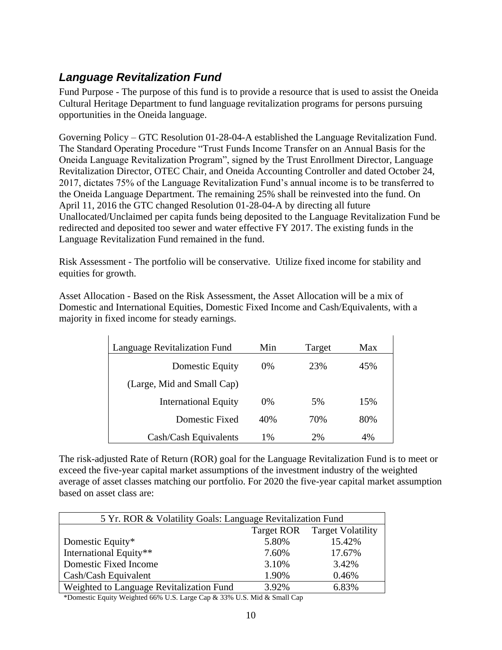## <span id="page-9-0"></span>*Language Revitalization Fund*

Fund Purpose - The purpose of this fund is to provide a resource that is used to assist the Oneida Cultural Heritage Department to fund language revitalization programs for persons pursuing opportunities in the Oneida language.

Governing Policy – GTC Resolution 01-28-04-A established the Language Revitalization Fund. The Standard Operating Procedure "Trust Funds Income Transfer on an Annual Basis for the Oneida Language Revitalization Program", signed by the Trust Enrollment Director, Language Revitalization Director, OTEC Chair, and Oneida Accounting Controller and dated October 24, 2017, dictates 75% of the Language Revitalization Fund's annual income is to be transferred to the Oneida Language Department. The remaining 25% shall be reinvested into the fund. On April 11, 2016 the GTC changed Resolution 01-28-04-A by directing all future Unallocated/Unclaimed per capita funds being deposited to the Language Revitalization Fund be redirected and deposited too sewer and water effective FY 2017. The existing funds in the Language Revitalization Fund remained in the fund.

Risk Assessment - The portfolio will be conservative. Utilize fixed income for stability and equities for growth.

Asset Allocation - Based on the Risk Assessment, the Asset Allocation will be a mix of Domestic and International Equities, Domestic Fixed Income and Cash/Equivalents, with a majority in fixed income for steady earnings.

| Language Revitalization Fund | Min   | Target | Max |
|------------------------------|-------|--------|-----|
| Domestic Equity              | 0%    | 23%    | 45% |
| (Large, Mid and Small Cap)   |       |        |     |
| <b>International Equity</b>  | $0\%$ | 5%     | 15% |
| Domestic Fixed               | 40%   | 70%    | 80% |
| Cash/Cash Equivalents        | 1%    | 2%     | 4%  |

<span id="page-9-1"></span>The risk-adjusted Rate of Return (ROR) goal for the Language Revitalization Fund is to meet or exceed the five-year capital market assumptions of the investment industry of the weighted average of asset classes matching our portfolio. For 2020 the five-year capital market assumption based on asset class are:

| 5 Yr. ROR & Volatility Goals: Language Revitalization Fund |       |        |  |  |
|------------------------------------------------------------|-------|--------|--|--|
| <b>Target Volatility</b><br><b>Target ROR</b>              |       |        |  |  |
| Domestic Equity*                                           | 5.80% | 15.42% |  |  |
| International Equity**                                     | 7.60% | 17.67% |  |  |
| Domestic Fixed Income                                      | 3.10% | 3.42%  |  |  |
| Cash/Cash Equivalent                                       | 1.90% | 0.46%  |  |  |
| Weighted to Language Revitalization Fund                   | 3.92% | 6.83%  |  |  |
|                                                            |       |        |  |  |

\*Domestic Equity Weighted 66% U.S. Large Cap & 33% U.S. Mid & Small Cap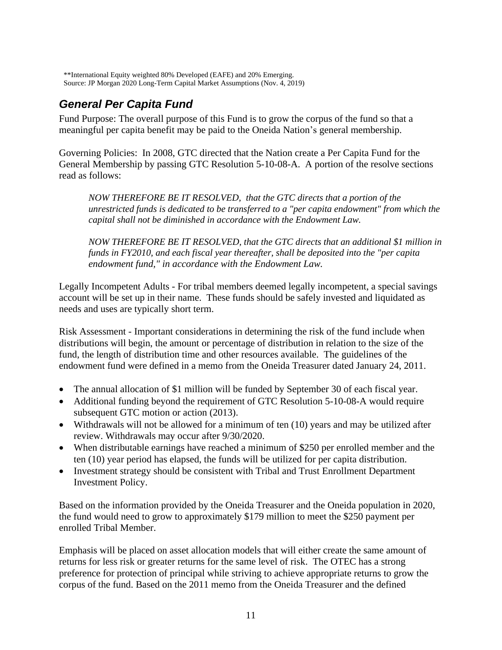\*\*International Equity weighted 80% Developed (EAFE) and 20% Emerging. Source: JP Morgan 2020 Long-Term Capital Market Assumptions (Nov. 4, 2019)

## *General Per Capita Fund*

Fund Purpose: The overall purpose of this Fund is to grow the corpus of the fund so that a meaningful per capita benefit may be paid to the Oneida Nation's general membership.

Governing Policies: In 2008, GTC directed that the Nation create a Per Capita Fund for the General Membership by passing GTC Resolution 5-10-08-A. A portion of the resolve sections read as follows:

*NOW THEREFORE BE IT RESOLVED, that the GTC directs that a portion of the unrestricted funds is dedicated to be transferred to a "per capita endowment" from which the capital shall not be diminished in accordance with the Endowment Law.* 

*NOW THEREFORE BE IT RESOLVED, that the GTC directs that an additional \$1 million in funds in FY2010, and each fiscal year thereafter, shall be deposited into the "per capita endowment fund," in accordance with the Endowment Law.*

Legally Incompetent Adults - For tribal members deemed legally incompetent, a special savings account will be set up in their name. These funds should be safely invested and liquidated as needs and uses are typically short term.

Risk Assessment - Important considerations in determining the risk of the fund include when distributions will begin, the amount or percentage of distribution in relation to the size of the fund, the length of distribution time and other resources available. The guidelines of the endowment fund were defined in a memo from the Oneida Treasurer dated January 24, 2011.

- The annual allocation of \$1 million will be funded by September 30 of each fiscal year.
- Additional funding beyond the requirement of GTC Resolution 5-10-08-A would require subsequent GTC motion or action (2013).
- Withdrawals will not be allowed for a minimum of ten (10) years and may be utilized after review. Withdrawals may occur after 9/30/2020.
- When distributable earnings have reached a minimum of \$250 per enrolled member and the ten (10) year period has elapsed, the funds will be utilized for per capita distribution.
- Investment strategy should be consistent with Tribal and Trust Enrollment Department Investment Policy.

Based on the information provided by the Oneida Treasurer and the Oneida population in 2020, the fund would need to grow to approximately \$179 million to meet the \$250 payment per enrolled Tribal Member.

Emphasis will be placed on asset allocation models that will either create the same amount of returns for less risk or greater returns for the same level of risk. The OTEC has a strong preference for protection of principal while striving to achieve appropriate returns to grow the corpus of the fund. Based on the 2011 memo from the Oneida Treasurer and the defined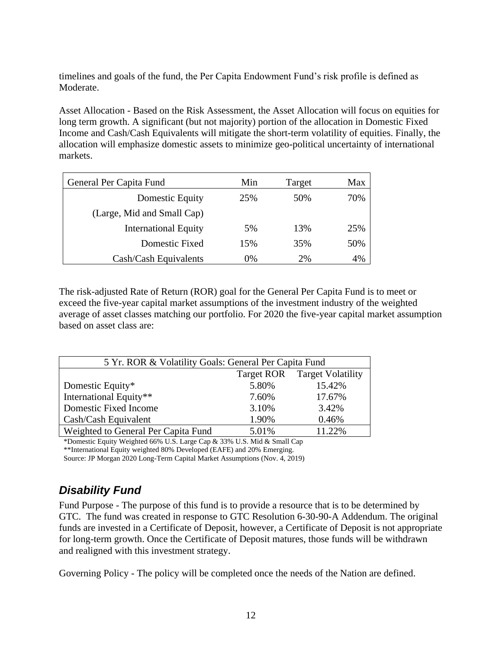timelines and goals of the fund, the Per Capita Endowment Fund's risk profile is defined as Moderate.

Asset Allocation - Based on the Risk Assessment, the Asset Allocation will focus on equities for long term growth. A significant (but not majority) portion of the allocation in Domestic Fixed Income and Cash/Cash Equivalents will mitigate the short-term volatility of equities. Finally, the allocation will emphasize domestic assets to minimize geo-political uncertainty of international markets.

| General Per Capita Fund     | Min | Target | Max |
|-----------------------------|-----|--------|-----|
| Domestic Equity             | 25% | 50%    | 70% |
| (Large, Mid and Small Cap)  |     |        |     |
| <b>International Equity</b> | 5%  | 13%    | 25% |
| Domestic Fixed              | 15% | 35%    | 50% |
| Cash/Cash Equivalents       | 0%  | 2%     | 4%  |

The risk-adjusted Rate of Return (ROR) goal for the General Per Capita Fund is to meet or exceed the five-year capital market assumptions of the investment industry of the weighted average of asset classes matching our portfolio. For 2020 the five-year capital market assumption based on asset class are:

| 5 Yr. ROR & Volatility Goals: General Per Capita Fund |       |        |  |  |
|-------------------------------------------------------|-------|--------|--|--|
| Target ROR Target Volatility                          |       |        |  |  |
| Domestic Equity*                                      | 5.80% | 15.42% |  |  |
| International Equity**                                | 7.60% | 17.67% |  |  |
| Domestic Fixed Income                                 | 3.10% | 3.42%  |  |  |
| Cash/Cash Equivalent                                  | 1.90% | 0.46%  |  |  |
| Weighted to General Per Capita Fund                   | 5.01% | 11.22% |  |  |

\*Domestic Equity Weighted 66% U.S. Large Cap & 33% U.S. Mid & Small Cap

\*\*International Equity weighted 80% Developed (EAFE) and 20% Emerging.

Source: JP Morgan 2020 Long-Term Capital Market Assumptions (Nov. 4, 2019)

## <span id="page-11-0"></span>*Disability Fund*

Fund Purpose - The purpose of this fund is to provide a resource that is to be determined by GTC. The fund was created in response to GTC Resolution 6-30-90-A Addendum. The original funds are invested in a Certificate of Deposit, however, a Certificate of Deposit is not appropriate for long-term growth. Once the Certificate of Deposit matures, those funds will be withdrawn and realigned with this investment strategy.

Governing Policy - The policy will be completed once the needs of the Nation are defined.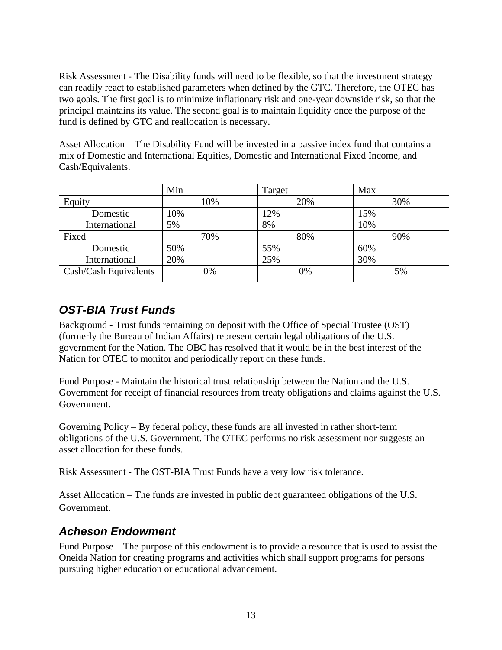Risk Assessment - The Disability funds will need to be flexible, so that the investment strategy can readily react to established parameters when defined by the GTC. Therefore, the OTEC has two goals. The first goal is to minimize inflationary risk and one-year downside risk, so that the principal maintains its value. The second goal is to maintain liquidity once the purpose of the fund is defined by GTC and reallocation is necessary.

Asset Allocation – The Disability Fund will be invested in a passive index fund that contains a mix of Domestic and International Equities, Domestic and International Fixed Income, and Cash/Equivalents.

|                       | Min | Target | Max |
|-----------------------|-----|--------|-----|
| Equity                | 10% | 20%    | 30% |
| Domestic              | 10% | 12%    | 15% |
| International         | 5%  | 8%     | 10% |
| Fixed                 | 70% | 80%    | 90% |
| Domestic              | 50% | 55%    | 60% |
| International         | 20% | 25%    | 30% |
| Cash/Cash Equivalents | 0%  | 0%     | 5%  |

## <span id="page-12-0"></span>*OST-BIA Trust Funds*

Background - Trust funds remaining on deposit with the Office of Special Trustee (OST) (formerly the Bureau of Indian Affairs) represent certain legal obligations of the U.S. government for the Nation. The OBC has resolved that it would be in the best interest of the Nation for OTEC to monitor and periodically report on these funds.

Fund Purpose - Maintain the historical trust relationship between the Nation and the U.S. Government for receipt of financial resources from treaty obligations and claims against the U.S. Government.

Governing Policy – By federal policy, these funds are all invested in rather short-term obligations of the U.S. Government. The OTEC performs no risk assessment nor suggests an asset allocation for these funds.

Risk Assessment - The OST-BIA Trust Funds have a very low risk tolerance.

Asset Allocation – The funds are invested in public debt guaranteed obligations of the U.S. Government.

### <span id="page-12-1"></span>*Acheson Endowment*

Fund Purpose – The purpose of this endowment is to provide a resource that is used to assist the Oneida Nation for creating programs and activities which shall support programs for persons pursuing higher education or educational advancement.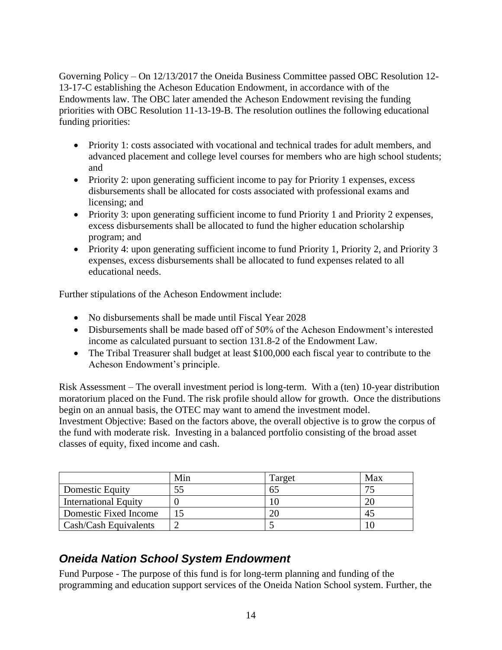Governing Policy – On 12/13/2017 the Oneida Business Committee passed OBC Resolution 12- 13-17-C establishing the Acheson Education Endowment, in accordance with of the Endowments law. The OBC later amended the Acheson Endowment revising the funding priorities with OBC Resolution 11-13-19-B. The resolution outlines the following educational funding priorities:

- Priority 1: costs associated with vocational and technical trades for adult members, and advanced placement and college level courses for members who are high school students; and
- Priority 2: upon generating sufficient income to pay for Priority 1 expenses, excess disbursements shall be allocated for costs associated with professional exams and licensing; and
- Priority 3: upon generating sufficient income to fund Priority 1 and Priority 2 expenses, excess disbursements shall be allocated to fund the higher education scholarship program; and
- Priority 4: upon generating sufficient income to fund Priority 1, Priority 2, and Priority 3 expenses, excess disbursements shall be allocated to fund expenses related to all educational needs.

Further stipulations of the Acheson Endowment include:

- No disbursements shall be made until Fiscal Year 2028
- Disbursements shall be made based off of 50% of the Acheson Endowment's interested income as calculated pursuant to section 131.8-2 of the Endowment Law.
- The Tribal Treasurer shall budget at least \$100,000 each fiscal year to contribute to the Acheson Endowment's principle.

Risk Assessment – The overall investment period is long-term. With a (ten) 10-year distribution moratorium placed on the Fund. The risk profile should allow for growth. Once the distributions begin on an annual basis, the OTEC may want to amend the investment model. Investment Objective: Based on the factors above, the overall objective is to grow the corpus of the fund with moderate risk. Investing in a balanced portfolio consisting of the broad asset classes of equity, fixed income and cash.

|                             | Min | Target | Max |
|-----------------------------|-----|--------|-----|
| Domestic Equity             |     |        |     |
| <b>International Equity</b> |     |        |     |
| Domestic Fixed Income       |     |        | 45  |
| Cash/Cash Equivalents       |     |        |     |

## <span id="page-13-0"></span>*Oneida Nation School System Endowment*

Fund Purpose - The purpose of this fund is for long-term planning and funding of the programming and education support services of the Oneida Nation School system. Further, the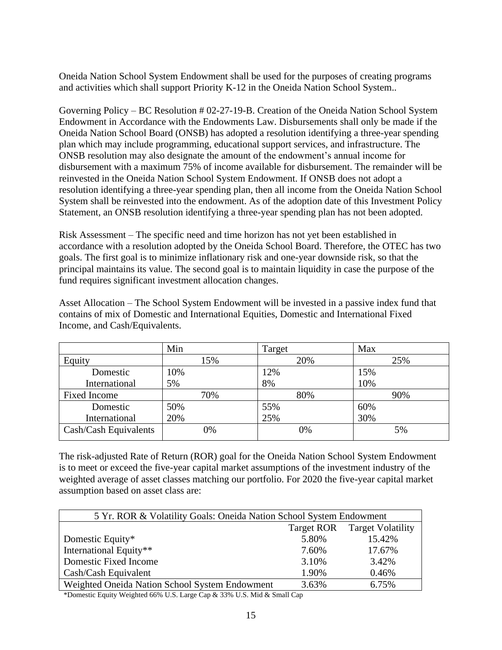Oneida Nation School System Endowment shall be used for the purposes of creating programs and activities which shall support Priority K-12 in the Oneida Nation School System..

Governing Policy – BC Resolution # 02-27-19-B. Creation of the Oneida Nation School System Endowment in Accordance with the Endowments Law. Disbursements shall only be made if the Oneida Nation School Board (ONSB) has adopted a resolution identifying a three-year spending plan which may include programming, educational support services, and infrastructure. The ONSB resolution may also designate the amount of the endowment's annual income for disbursement with a maximum 75% of income available for disbursement. The remainder will be reinvested in the Oneida Nation School System Endowment. If ONSB does not adopt a resolution identifying a three-year spending plan, then all income from the Oneida Nation School System shall be reinvested into the endowment. As of the adoption date of this Investment Policy Statement, an ONSB resolution identifying a three-year spending plan has not been adopted.

Risk Assessment – The specific need and time horizon has not yet been established in accordance with a resolution adopted by the Oneida School Board. Therefore, the OTEC has two goals. The first goal is to minimize inflationary risk and one-year downside risk, so that the principal maintains its value. The second goal is to maintain liquidity in case the purpose of the fund requires significant investment allocation changes.

Asset Allocation – The School System Endowment will be invested in a passive index fund that contains of mix of Domestic and International Equities, Domestic and International Fixed Income, and Cash/Equivalents.

|                       | Min | Target | Max |
|-----------------------|-----|--------|-----|
| Equity                | 15% | 20%    | 25% |
| Domestic              | 10% | 12%    | 15% |
| International         | 5%  | 8%     | 10% |
| <b>Fixed Income</b>   | 70% | 80%    | 90% |
| Domestic              | 50% | 55%    | 60% |
| International         | 20% | 25%    | 30% |
| Cash/Cash Equivalents | 0%  | 0%     | 5%  |
|                       |     |        |     |

The risk-adjusted Rate of Return (ROR) goal for the Oneida Nation School System Endowment is to meet or exceed the five-year capital market assumptions of the investment industry of the weighted average of asset classes matching our portfolio. For 2020 the five-year capital market assumption based on asset class are:

| 5 Yr. ROR & Volatility Goals: Oneida Nation School System Endowment |       |                              |
|---------------------------------------------------------------------|-------|------------------------------|
|                                                                     |       | Target ROR Target Volatility |
| Domestic Equity*                                                    | 5.80% | 15.42%                       |
| International Equity**                                              | 7.60% | 17.67%                       |
| Domestic Fixed Income                                               | 3.10% | 3.42%                        |
| Cash/Cash Equivalent                                                | 1.90% | 0.46%                        |
| Weighted Oneida Nation School System Endowment                      | 3.63% | 6.75%                        |
|                                                                     |       |                              |

\*Domestic Equity Weighted 66% U.S. Large Cap & 33% U.S. Mid & Small Cap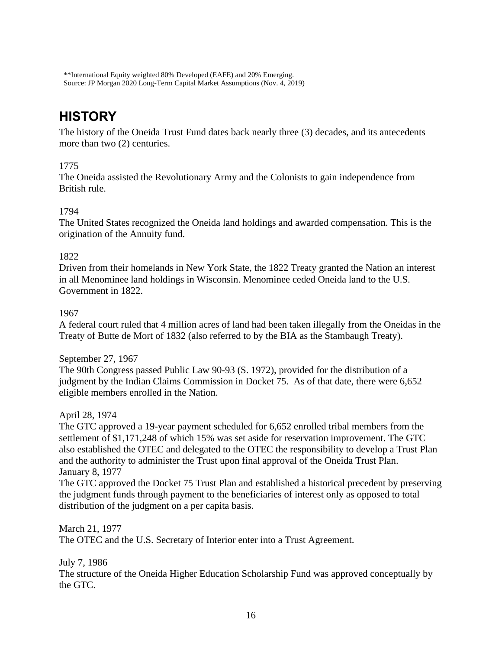\*\*International Equity weighted 80% Developed (EAFE) and 20% Emerging. Source: JP Morgan 2020 Long-Term Capital Market Assumptions (Nov. 4, 2019)

## <span id="page-15-0"></span>**HISTORY**

The history of the Oneida Trust Fund dates back nearly three (3) decades, and its antecedents more than two (2) centuries.

#### 1775

The Oneida assisted the Revolutionary Army and the Colonists to gain independence from British rule.

#### 1794

The United States recognized the Oneida land holdings and awarded compensation. This is the origination of the Annuity fund.

#### 1822

Driven from their homelands in New York State, the 1822 Treaty granted the Nation an interest in all Menominee land holdings in Wisconsin. Menominee ceded Oneida land to the U.S. Government in 1822.

#### 1967

A federal court ruled that 4 million acres of land had been taken illegally from the Oneidas in the Treaty of Butte de Mort of 1832 (also referred to by the BIA as the Stambaugh Treaty).

#### September 27, 1967

The 90th Congress passed Public Law 90-93 (S. 1972), provided for the distribution of a judgment by the Indian Claims Commission in Docket 75. As of that date, there were 6,652 eligible members enrolled in the Nation.

#### April 28, 1974

The GTC approved a 19-year payment scheduled for 6,652 enrolled tribal members from the settlement of \$1,171,248 of which 15% was set aside for reservation improvement. The GTC also established the OTEC and delegated to the OTEC the responsibility to develop a Trust Plan and the authority to administer the Trust upon final approval of the Oneida Trust Plan. January 8, 1977

The GTC approved the Docket 75 Trust Plan and established a historical precedent by preserving the judgment funds through payment to the beneficiaries of interest only as opposed to total distribution of the judgment on a per capita basis.

#### March 21, 1977

The OTEC and the U.S. Secretary of Interior enter into a Trust Agreement.

July 7, 1986

The structure of the Oneida Higher Education Scholarship Fund was approved conceptually by the GTC.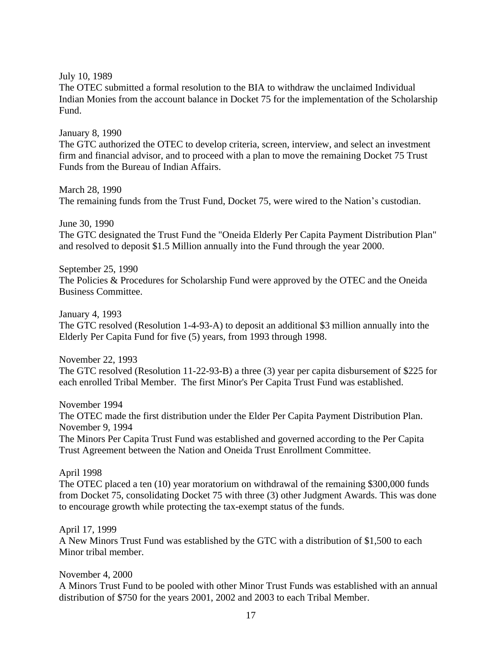July 10, 1989

The OTEC submitted a formal resolution to the BIA to withdraw the unclaimed Individual Indian Monies from the account balance in Docket 75 for the implementation of the Scholarship Fund.

January 8, 1990

The GTC authorized the OTEC to develop criteria, screen, interview, and select an investment firm and financial advisor, and to proceed with a plan to move the remaining Docket 75 Trust Funds from the Bureau of Indian Affairs.

March 28, 1990 The remaining funds from the Trust Fund, Docket 75, were wired to the Nation's custodian.

June 30, 1990 The GTC designated the Trust Fund the "Oneida Elderly Per Capita Payment Distribution Plan" and resolved to deposit \$1.5 Million annually into the Fund through the year 2000.

September 25, 1990 The Policies & Procedures for Scholarship Fund were approved by the OTEC and the Oneida Business Committee.

January 4, 1993 The GTC resolved (Resolution 1-4-93-A) to deposit an additional \$3 million annually into the Elderly Per Capita Fund for five (5) years, from 1993 through 1998.

November 22, 1993 The GTC resolved (Resolution 11-22-93-B) a three (3) year per capita disbursement of \$225 for each enrolled Tribal Member. The first Minor's Per Capita Trust Fund was established.

November 1994 The OTEC made the first distribution under the Elder Per Capita Payment Distribution Plan. November 9, 1994 The Minors Per Capita Trust Fund was established and governed according to the Per Capita Trust Agreement between the Nation and Oneida Trust Enrollment Committee.

April 1998

The OTEC placed a ten (10) year moratorium on withdrawal of the remaining \$300,000 funds from Docket 75, consolidating Docket 75 with three (3) other Judgment Awards. This was done to encourage growth while protecting the tax-exempt status of the funds.

April 17, 1999 A New Minors Trust Fund was established by the GTC with a distribution of \$1,500 to each Minor tribal member.

November 4, 2000

A Minors Trust Fund to be pooled with other Minor Trust Funds was established with an annual distribution of \$750 for the years 2001, 2002 and 2003 to each Tribal Member.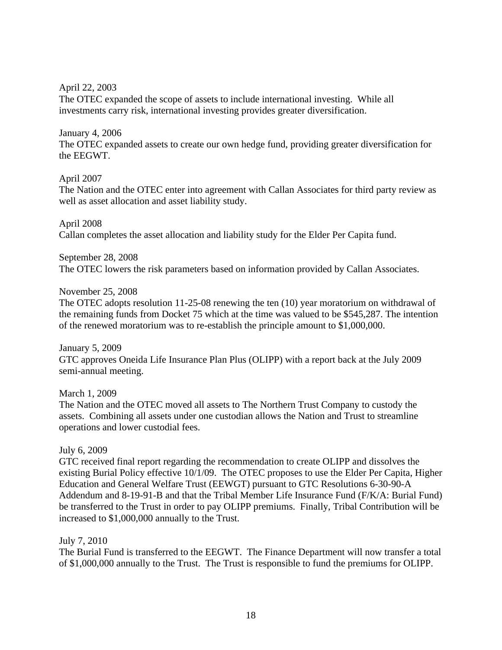April 22, 2003

The OTEC expanded the scope of assets to include international investing. While all investments carry risk, international investing provides greater diversification.

January 4, 2006 The OTEC expanded assets to create our own hedge fund, providing greater diversification for the EEGWT.

#### April 2007

The Nation and the OTEC enter into agreement with Callan Associates for third party review as well as asset allocation and asset liability study.

April 2008 Callan completes the asset allocation and liability study for the Elder Per Capita fund.

September 28, 2008 The OTEC lowers the risk parameters based on information provided by Callan Associates.

#### November 25, 2008

The OTEC adopts resolution 11-25-08 renewing the ten (10) year moratorium on withdrawal of the remaining funds from Docket 75 which at the time was valued to be \$545,287. The intention of the renewed moratorium was to re-establish the principle amount to \$1,000,000.

January 5, 2009 GTC approves Oneida Life Insurance Plan Plus (OLIPP) with a report back at the July 2009 semi-annual meeting.

March 1, 2009

The Nation and the OTEC moved all assets to The Northern Trust Company to custody the assets. Combining all assets under one custodian allows the Nation and Trust to streamline operations and lower custodial fees.

#### July 6, 2009

GTC received final report regarding the recommendation to create OLIPP and dissolves the existing Burial Policy effective 10/1/09. The OTEC proposes to use the Elder Per Capita, Higher Education and General Welfare Trust (EEWGT) pursuant to GTC Resolutions 6-30-90-A Addendum and 8-19-91-B and that the Tribal Member Life Insurance Fund (F/K/A: Burial Fund) be transferred to the Trust in order to pay OLIPP premiums. Finally, Tribal Contribution will be increased to \$1,000,000 annually to the Trust.

#### July 7, 2010

The Burial Fund is transferred to the EEGWT. The Finance Department will now transfer a total of \$1,000,000 annually to the Trust. The Trust is responsible to fund the premiums for OLIPP.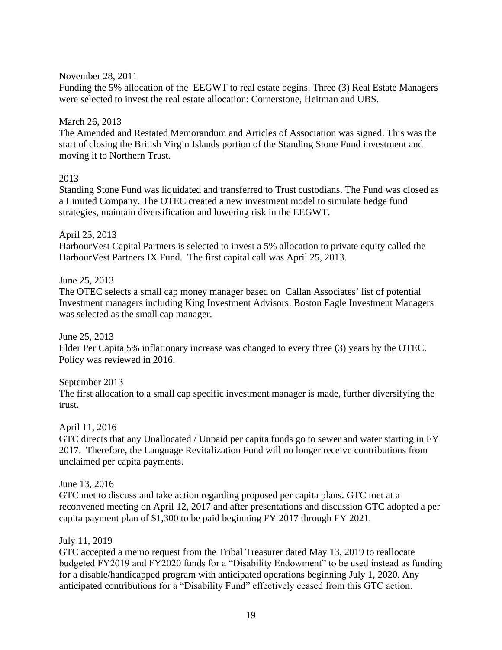#### November 28, 2011

Funding the 5% allocation of the EEGWT to real estate begins. Three (3) Real Estate Managers were selected to invest the real estate allocation: Cornerstone, Heitman and UBS.

#### March 26, 2013

The Amended and Restated Memorandum and Articles of Association was signed. This was the start of closing the British Virgin Islands portion of the Standing Stone Fund investment and moving it to Northern Trust.

#### 2013

Standing Stone Fund was liquidated and transferred to Trust custodians. The Fund was closed as a Limited Company. The OTEC created a new investment model to simulate hedge fund strategies, maintain diversification and lowering risk in the EEGWT.

April 25, 2013 HarbourVest Capital Partners is selected to invest a 5% allocation to private equity called the HarbourVest Partners IX Fund. The first capital call was April 25, 2013.

June 25, 2013 The OTEC selects a small cap money manager based on Callan Associates' list of potential Investment managers including King Investment Advisors. Boston Eagle Investment Managers was selected as the small cap manager.

June 25, 2013 Elder Per Capita 5% inflationary increase was changed to every three (3) years by the OTEC. Policy was reviewed in 2016.

September 2013 The first allocation to a small cap specific investment manager is made, further diversifying the trust.

April 11, 2016

GTC directs that any Unallocated / Unpaid per capita funds go to sewer and water starting in FY 2017. Therefore, the Language Revitalization Fund will no longer receive contributions from unclaimed per capita payments.

June 13, 2016

GTC met to discuss and take action regarding proposed per capita plans. GTC met at a reconvened meeting on April 12, 2017 and after presentations and discussion GTC adopted a per capita payment plan of \$1,300 to be paid beginning FY 2017 through FY 2021.

#### July 11, 2019

GTC accepted a memo request from the Tribal Treasurer dated May 13, 2019 to reallocate budgeted FY2019 and FY2020 funds for a "Disability Endowment" to be used instead as funding for a disable/handicapped program with anticipated operations beginning July 1, 2020. Any anticipated contributions for a "Disability Fund" effectively ceased from this GTC action.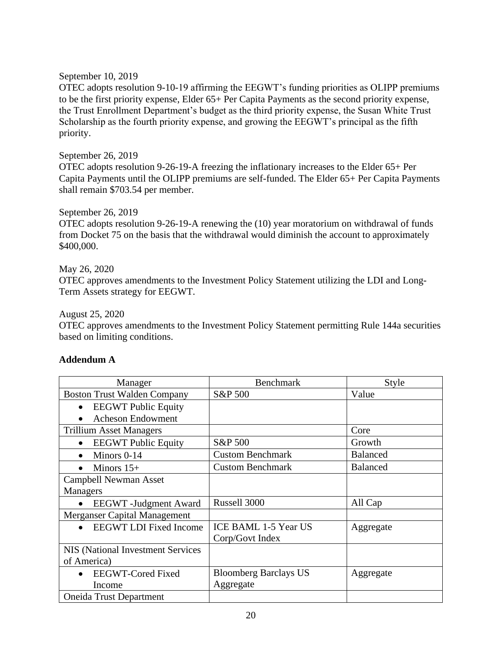#### September 10, 2019

OTEC adopts resolution 9-10-19 affirming the EEGWT's funding priorities as OLIPP premiums to be the first priority expense, Elder 65+ Per Capita Payments as the second priority expense, the Trust Enrollment Department's budget as the third priority expense, the Susan White Trust Scholarship as the fourth priority expense, and growing the EEGWT's principal as the fifth priority.

#### September 26, 2019

OTEC adopts resolution 9-26-19-A freezing the inflationary increases to the Elder 65+ Per Capita Payments until the OLIPP premiums are self-funded. The Elder 65+ Per Capita Payments shall remain \$703.54 per member.

#### September 26, 2019

OTEC adopts resolution 9-26-19-A renewing the (10) year moratorium on withdrawal of funds from Docket 75 on the basis that the withdrawal would diminish the account to approximately \$400,000.

#### May 26, 2020

OTEC approves amendments to the Investment Policy Statement utilizing the LDI and Long-Term Assets strategy for EEGWT.

August 25, 2020

OTEC approves amendments to the Investment Policy Statement permitting Rule 144a securities based on limiting conditions.

#### **Addendum A**

| Manager                                    | <b>Benchmark</b>             | Style           |
|--------------------------------------------|------------------------------|-----------------|
| <b>Boston Trust Walden Company</b>         | S&P 500                      | Value           |
| <b>EEGWT</b> Public Equity<br>$\bullet$    |                              |                 |
| <b>Acheson Endowment</b>                   |                              |                 |
| <b>Trillium Asset Managers</b>             |                              | Core            |
| <b>EEGWT</b> Public Equity<br>$\bullet$    | S&P 500                      | Growth          |
| Minors 0-14<br>$\bullet$                   | <b>Custom Benchmark</b>      | <b>Balanced</b> |
| Minors $15+$                               | <b>Custom Benchmark</b>      | <b>Balanced</b> |
| <b>Campbell Newman Asset</b>               |                              |                 |
| <b>Managers</b>                            |                              |                 |
| <b>EEGWT</b> - Judgment Award<br>$\bullet$ | Russell 3000                 | All Cap         |
| Merganser Capital Management               |                              |                 |
| <b>EEGWT LDI Fixed Income</b><br>$\bullet$ | ICE BAML 1-5 Year US         | Aggregate       |
|                                            | Corp/Govt Index              |                 |
| <b>NIS (National Investment Services)</b>  |                              |                 |
| of America)                                |                              |                 |
| <b>EEGWT-Cored Fixed</b><br>$\bullet$      | <b>Bloomberg Barclays US</b> | Aggregate       |
| Income                                     | Aggregate                    |                 |
| <b>Oneida Trust Department</b>             |                              |                 |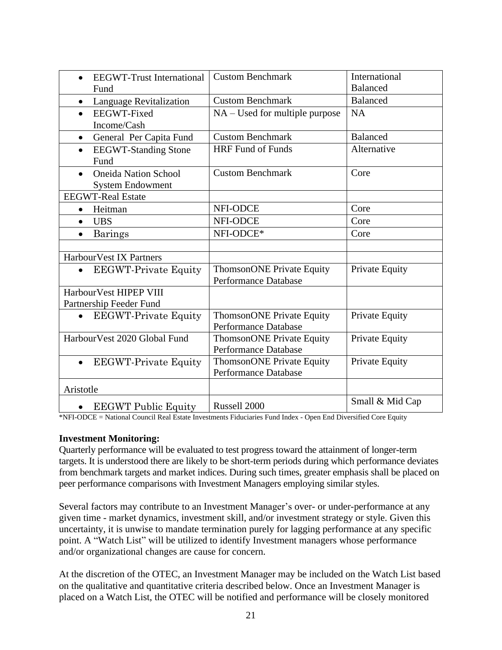| <b>EEGWT-Trust International</b>         | <b>Custom Benchmark</b>          | International         |
|------------------------------------------|----------------------------------|-----------------------|
| Fund                                     |                                  | <b>Balanced</b>       |
| Language Revitalization<br>$\bullet$     | <b>Custom Benchmark</b>          | <b>Balanced</b>       |
| <b>EEGWT-Fixed</b><br>$\bullet$          | NA – Used for multiple purpose   | <b>NA</b>             |
| Income/Cash                              |                                  |                       |
| General Per Capita Fund<br>$\bullet$     | <b>Custom Benchmark</b>          | <b>Balanced</b>       |
| <b>EEGWT-Standing Stone</b><br>$\bullet$ | <b>HRF</b> Fund of Funds         | Alternative           |
| Fund                                     |                                  |                       |
| <b>Oneida Nation School</b><br>$\bullet$ | <b>Custom Benchmark</b>          | Core                  |
| <b>System Endowment</b>                  |                                  |                       |
| <b>EEGWT-Real Estate</b>                 |                                  |                       |
| Heitman<br>$\bullet$                     | NFI-ODCE                         | Core                  |
| <b>UBS</b><br>$\bullet$                  | NFI-ODCE                         | Core                  |
| <b>Barings</b>                           | NFI-ODCE*                        | Core                  |
|                                          |                                  |                       |
| HarbourVest IX Partners                  |                                  |                       |
| <b>EEGWT-Private Equity</b><br>$\bullet$ | <b>ThomsonONE Private Equity</b> | <b>Private Equity</b> |
|                                          | <b>Performance Database</b>      |                       |
| Harbour Vest HIPEP VIII                  |                                  |                       |
| Partnership Feeder Fund                  |                                  |                       |
| <b>EEGWT-Private Equity</b><br>$\bullet$ | <b>ThomsonONE Private Equity</b> | <b>Private Equity</b> |
|                                          | <b>Performance Database</b>      |                       |
| HarbourVest 2020 Global Fund             | <b>ThomsonONE Private Equity</b> | <b>Private Equity</b> |
|                                          | Performance Database             |                       |
| <b>EEGWT-Private Equity</b><br>$\bullet$ | <b>ThomsonONE Private Equity</b> | <b>Private Equity</b> |
|                                          | Performance Database             |                       |
| Aristotle                                |                                  |                       |
| <b>EEGWT</b> Public Equity<br>$\bullet$  | Russell 2000                     | Small & Mid Cap       |

\*NFI-ODCE = National Council Real Estate Investments Fiduciaries Fund Index - Open End Diversified Core Equity

#### **Investment Monitoring:**

Quarterly performance will be evaluated to test progress toward the attainment of longer-term targets. It is understood there are likely to be short-term periods during which performance deviates from benchmark targets and market indices. During such times, greater emphasis shall be placed on peer performance comparisons with Investment Managers employing similar styles.

Several factors may contribute to an Investment Manager's over- or under-performance at any given time - market dynamics, investment skill, and/or investment strategy or style. Given this uncertainty, it is unwise to mandate termination purely for lagging performance at any specific point. A "Watch List" will be utilized to identify Investment managers whose performance and/or organizational changes are cause for concern.

At the discretion of the OTEC, an Investment Manager may be included on the Watch List based on the qualitative and quantitative criteria described below. Once an Investment Manager is placed on a Watch List, the OTEC will be notified and performance will be closely monitored